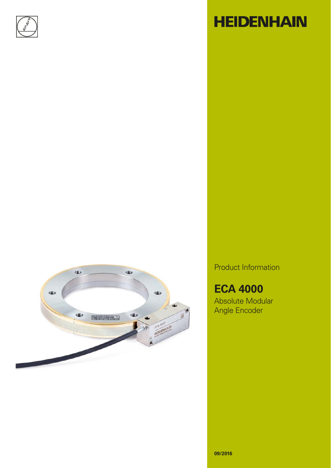

## **HEIDENHAIN**



Product Information

**ECA 4000** Absolute Modular

Angle Encoder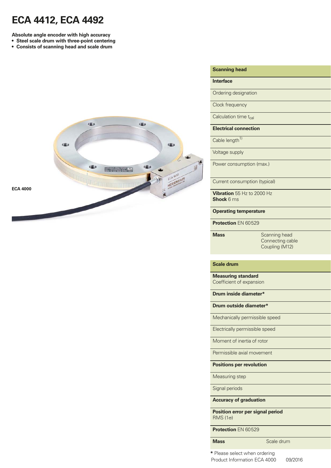## **ECA 4412, ECA 4492**

**Absolute angle encoder with high accuracy**

- **Steel scale drum with three-point centering**
- **Consists of scanning head and scale drum**



#### **Scanning head**

#### **Interface**

Ordering designation

Clock frequency

Calculation time t<sub>cal</sub>

**Electrical connection**

 $Cable length<sup>1</sup>$ 

Voltage supply

Power consumption (max.)

Current consumption (typical)

**Vibration** 55 Hz to 2000 Hz **Shock** 6 ms

**Operating temperature**

**Protection EN 60529** 

**Mass** Scanning head Connecting cable Coupling (M12)

#### **Scale drum**

**Measuring standard** Coefficient of expansion

**Drum inside diameter\***

**Drum outside diameter\***

Mechanically permissible speed

Electrically permissible speed

Moment of inertia of rotor

Permissible axial movement

**Positions per revolution**

Measuring step

Signal periods

**Accuracy of graduation**

**Position error per signal period** RMS  $(1\sigma)$ 

**Protection** EN 60529

**Mass** Scale drum

Product Information ECA 4000 09/2016 **\*** Please select when ordering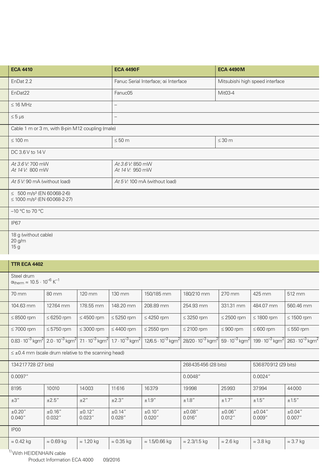| <b>ECA 4410</b>                                                                            |                 |                 | <b>ECA 4490F</b>                                                                                               |                                         |                                        | <b>ECA 4490M</b>                    |                                      |                                      |  |  |
|--------------------------------------------------------------------------------------------|-----------------|-----------------|----------------------------------------------------------------------------------------------------------------|-----------------------------------------|----------------------------------------|-------------------------------------|--------------------------------------|--------------------------------------|--|--|
| EnDat 2.2                                                                                  |                 |                 |                                                                                                                | Fanuc Serial Interface; xi Interface    |                                        |                                     | Mitsubishi high speed interface      |                                      |  |  |
| EnDat22                                                                                    |                 |                 | Fanuc05                                                                                                        | Mit03-4                                 |                                        |                                     |                                      |                                      |  |  |
| $\leq$ 16 MHz                                                                              |                 |                 | $\overline{\phantom{0}}$                                                                                       |                                         |                                        |                                     |                                      |                                      |  |  |
| $\leq 5 \mu s$                                                                             |                 |                 | $\overline{\phantom{0}}$                                                                                       |                                         |                                        |                                     |                                      |                                      |  |  |
| Cable 1 m or 3 m, with 8-pin M12 coupling (male)                                           |                 |                 |                                                                                                                |                                         |                                        |                                     |                                      |                                      |  |  |
| $\leq 100$ m                                                                               |                 |                 | $\leq 50$ m                                                                                                    |                                         |                                        | $\leq 30$ m                         |                                      |                                      |  |  |
| DC 3.6 V to 14 V                                                                           |                 |                 |                                                                                                                |                                         |                                        |                                     |                                      |                                      |  |  |
| At 3.6 V: 700 mW<br>At 14 V: 800 mW                                                        |                 |                 | At 3.6 V: 850 mW<br>At 14 V: 950 mW                                                                            |                                         |                                        |                                     |                                      |                                      |  |  |
| At 5 V: 90 mA (without load)                                                               |                 |                 |                                                                                                                | At 5 V: 100 mA (without load)           |                                        |                                     |                                      |                                      |  |  |
| $\leq 500$ m/s <sup>2</sup> (EN 60068-2-6)<br>$\leq$ 1000 m/s <sup>2</sup> (EN 60068-2-27) |                 |                 |                                                                                                                |                                         |                                        |                                     |                                      |                                      |  |  |
| -10 °C to 70 °C                                                                            |                 |                 |                                                                                                                |                                         |                                        |                                     |                                      |                                      |  |  |
| IP67                                                                                       |                 |                 |                                                                                                                |                                         |                                        |                                     |                                      |                                      |  |  |
| 18 g (without cable)<br>20 g/m<br>15 g                                                     |                 |                 |                                                                                                                |                                         |                                        |                                     |                                      |                                      |  |  |
| <b>TTR ECA 4402</b>                                                                        |                 |                 |                                                                                                                |                                         |                                        |                                     |                                      |                                      |  |  |
| Steel drum<br>$\alpha_{\text{therm}} \approx 10.5 \cdot 10^{-6} \text{ K}^{-1}$            |                 |                 |                                                                                                                |                                         |                                        |                                     |                                      |                                      |  |  |
| 70 mm                                                                                      | 80 mm           | 120 mm          | 130 mm                                                                                                         | 150/185 mm                              | 180/210 mm                             | 270 mm                              | 425 mm                               | 512 mm                               |  |  |
| 104.63 mm                                                                                  | 127.64 mm       | 178.55 mm       | 148.20 mm                                                                                                      | 208.89 mm                               | 254.93 mm                              | 331.31 mm                           | 484.07 mm                            | 560.46 mm                            |  |  |
| $\leq$ 8500 rpm                                                                            | $\leq 6250$ rpm | $\leq 4500$ rpm | $\leq 5250$ rpm                                                                                                | $\leq$ 4250 rpm                         | $\leq$ 3250 rpm                        | $\leq$ 2500 rpm                     | $\leq$ 1800 rpm                      | $\leq$ 1500 rpm                      |  |  |
| $\leq$ 7000 rpm                                                                            | $\leq$ 5750 rpm | $\leq$ 3000 rpm | $\leq 4400$ rpm                                                                                                | $\leq$ 2550 rpm                         | $\leq$ 2100 rpm                        | $\leq 900$ rpm                      | $\leq 600$ rpm                       | $\leq 550$ rpm                       |  |  |
| $0.83 \cdot 10^{-3}$ kgm <sup>2</sup>                                                      |                 |                 | $2.0 \cdot 10^{-3}$ kgm <sup>2</sup> 7.1 $\cdot 10^{-3}$ kgm <sup>2</sup> 1.7 $\cdot 10^{-3}$ kgm <sup>2</sup> | $12/6.5 \cdot 10^{-3}$ kgm <sup>2</sup> | $28/20 \cdot 10^{-3}$ kgm <sup>2</sup> | $59 \cdot 10^{-3}$ kgm <sup>2</sup> | $199 \cdot 10^{-3}$ kgm <sup>2</sup> | $263 \cdot 10^{-3}$ kgm <sup>2</sup> |  |  |
| $\leq \pm 0.4$ mm (scale drum relative to the scanning head)                               |                 |                 |                                                                                                                |                                         |                                        |                                     |                                      |                                      |  |  |
| 134217728 (27 bits)                                                                        |                 |                 |                                                                                                                |                                         | 268435456 (28 bits)                    |                                     | 536870912 (29 bits)                  |                                      |  |  |
| 0.0097''                                                                                   |                 |                 |                                                                                                                |                                         | 0.0048"                                |                                     | 0.0024''                             |                                      |  |  |
| 8195                                                                                       | 10010           | 14003           | 11616                                                                                                          | 16379                                   | 19998                                  | 25993                               | 37994                                | 44000                                |  |  |
| $\pm 3''$                                                                                  | ±2.5"           | $\pm 2$ "       | $\pm 2.3$ "                                                                                                    | ±1.9"                                   | $\pm 1.8^{\prime\prime}$               | ±1.7"                               | ±1.5"                                | ±1.5"                                |  |  |
| $\pm 0.20$ "                                                                               | $\pm 0.16''$    | ±0.12"          | ±0.14''                                                                                                        | $\pm 0.10$ "                            | $\pm 0.08''$                           | $\pm 0.06''$                        | $\pm 0.04^{\prime\prime}$            | $\pm 0.04^{\prime\prime}$            |  |  |

### $\approx$  0.42 kg  $\,$   $|\approx$  0.69 kg  $\,$   $|\approx$  1.20 kg  $\,$   $|\approx$  0.35 kg  $\,$   $|\approx$  1.5/0.66 kg  $\,$   $|\approx$  2.3/1.5 kg  $\,$   $|\approx$  2.6 kg  $\,$   $|\approx$  3.8 kg  $\,$   $|\approx$  3.7 kg  $1)$  With HEIDENHAIN cable

±0.12" 0.023"

0.028"

0.020"

0.016"

0.012"

0.009"

0.007"

Product Information ECA 4000 09/2016

 $\pm 0.16''$ 0.032"

0.040"

IP00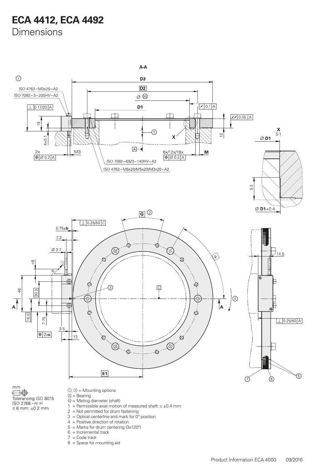## **ECA 4412, ECA 4492**

Dimensions



- 4 = Positive direction of rotation
- $5$  = Marks for drum centering (3x120 $^{\circ}$ )
- 6 = Incremental track
- $7 = \text{Code track}$
- 8 = Space for mounting aid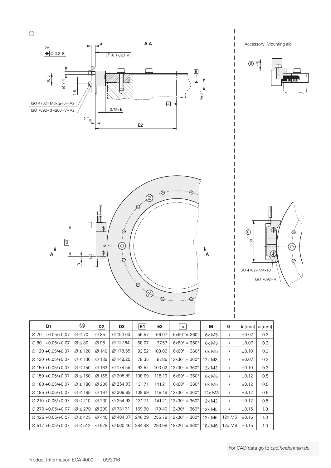

| D1                                | ⋓                      | D2                | D <sub>3</sub>       | E1     | E2     | $\alpha$                           | м                         | G      | $b$ [mm]   | c [mm] |
|-----------------------------------|------------------------|-------------------|----------------------|--------|--------|------------------------------------|---------------------------|--------|------------|--------|
| $+0.05/+0.07$<br>$\varnothing$ 70 | $\varnothing \leq 70$  | Ø 85              | ∅ 104.63             | 56.57  | 66.07  | $6x60^{\circ} = 360^{\circ}$       | $6x$ M <sub>5</sub>       |        | $\pm 0.07$ | 0.3    |
| $+0.05/+0.07$<br>$\varnothing$ 80 | $\varnothing \leq 80$  | $\varnothing$ 95  | ∅ 127.64             | 68.07  | 77.57  | $6x60^{\circ} = 360^{\circ}$       | 6x M5                     |        | $\pm 0.07$ | 0.3    |
| $\varnothing$ 120 + 0.05/ + 0.07  | $\varnothing \leq 120$ | $\varnothing$ 140 | $\varnothing$ 178.55 | 93.52  | 103.02 | $6x60^{\circ} = 360^{\circ}$       | 6xM5                      |        | $\pm 0.10$ | 0.3    |
| $\varnothing$ 130 +0.05/+0.07     | $\varnothing \leq 130$ | $\varnothing$ 139 | $\varnothing$ 148.20 | 78.35  | 87.85  | $12\times30^\circ = 360^\circ$     | $12\times$ M3             |        | $\pm 0.07$ | 0.3    |
| $\varnothing$ 150 +0.05/+0.07     | $\varnothing \leq 150$ | Ø 163             | ∅ 178.55             | 93.52  | 103.02 | $12\times30^{\circ} = 360^{\circ}$ | $12\times$ M3             |        | $\pm 0.10$ | 0.3    |
| $\varnothing$ 150 +0.05/+0.07     | $\varnothing \leq 150$ | $\varnothing$ 165 | $\varnothing$ 208.89 | 108.69 | 118.19 | $6x60^{\circ} = 360^{\circ}$       | 6x M5                     |        | $\pm 0.12$ | 0.5    |
| $\varnothing$ 180 +0.05/+0.07     | $\varnothing \leq 180$ | $\varnothing$ 200 | Ø 254.93             | 131.71 | 141.21 | $6x60^{\circ} = 360^{\circ}$       | $6x$ M <sub>5</sub>       |        | $\pm 0.12$ | 0.5    |
| $\varnothing$ 185 + 0.05/+ 0.07   | $\varnothing \leq 185$ | Ø 197             | Ø 208 89             | 108.69 | 118.19 | $12\times30^\circ = 360^\circ$     | $12\times M3$             |        | $\pm 0.12$ | 0.5    |
| $\varnothing$ 210 +0.05/+0.07     | $\varnothing \leq 210$ | Ø 230             | ∅ 254.93             | 131.71 | 141.21 | $12\times30^{\circ} = 360^{\circ}$ | $12\times$ M3             |        | $\pm 0.12$ | 0.5    |
| $\varnothing$ 270 +0.05/+0.07     | $\varnothing \leq 270$ | $\varnothing$ 290 | ∅ 331.31             | 169.90 | 179.40 | $12\times30^{\circ} = 360^{\circ}$ | $12\times$ M <sub>5</sub> |        | $\pm 0.15$ | 1.0    |
| $\varnothing$ 425 + 0.05/ + 0.07  | $\varnothing \leq 425$ | Ø 445             | ∅ 484.07             | 246.29 | 255.79 | $12\times30^{\circ} = 360^{\circ}$ | $12\times$ M6             | 12x M6 | $\pm 0.15$ | 1.0    |
| $\varnothing$ 512 +0.05/+0.07     | $\varnothing \leq 512$ | $\varnothing$ 528 | ∅ 560.46             | 284.48 | 293.98 | $18x20^{\circ} = 360^{\circ}$      | 18x M6                    | 12x M8 | $\pm 0.15$ | 1.0    |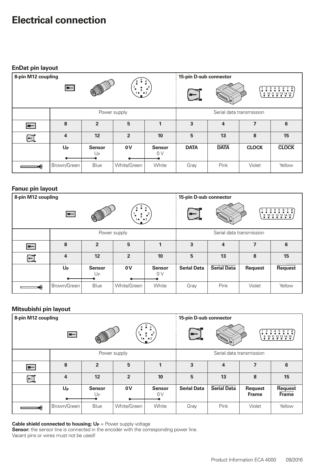## **Electrical connection**

#### **EnDat pin layout 8-pin M12 coupling 15-pin D-sub connector**  $\blacksquare$  $\begin{smallmatrix} 1 & 2 & 3 & 4 & 5 & 6 & 7 & 8 \\ 0 & 0 & 0 & 0 & 0 & 0 & 0 \\ 0 & 0 & 0 & 0 & 0 & 0 & 0 \end{smallmatrix}$ Power supply **Serial data transmission 8** | 2 | 5 | 1 | 3 | 4 | 7 | 6  $\blacksquare$ **4 12 2 10 5 13 8 15**  $\boxdot$ **DATA DATA CLOCK CLOCK UP Sensor** 0 V Sensor 0 V  $U_P$  $\bullet$  $\bullet$  $\bullet$ Brown/Green Blue White/Green White Gray Pink Violet Yellow

#### **Fanuc pin layout**

| 8-pin M12 coupling | 15-pin D-sub connector |                     |                                  |                                 |                    |                    |                          |                   |
|--------------------|------------------------|---------------------|----------------------------------|---------------------------------|--------------------|--------------------|--------------------------|-------------------|
|                    | $\blacksquare$         |                     | $\frac{•}{8}$<br>$1 \bullet - 2$ | $\cdot$ <sup>3</sup>            | ╾                  | <b>SEPTERIOR</b>   | $\frac{9}{2}$            | 10 11 12 13 14 15 |
|                    |                        |                     | Power supply                     |                                 |                    |                    | Serial data transmission |                   |
| $\blacksquare$     | 8                      | $\overline{2}$      | 5                                |                                 | 3                  | 4                  | 7                        | 6                 |
| $\Xi$              | $\overline{\bf{4}}$    | 12                  | $\overline{2}$                   | 10                              | 5                  | 13                 | 8                        | 15                |
|                    | $U_{P}$                | <b>Sensor</b><br>Up | 0V                               | <b>Sensor</b><br>0 <sub>V</sub> | <b>Serial Data</b> | <b>Serial Data</b> | <b>Request</b>           | <b>Request</b>    |
|                    | Brown/Green            | <b>Blue</b>         | White/Green                      | White                           | Gray               | Pink               | Violet                   | Yellow            |

#### **Mitsubishi pin layout**

| 8-pin M12 coupling |                         |                                   |                |                                        | 15-pin D-sub connector |                    |                                |                                |
|--------------------|-------------------------|-----------------------------------|----------------|----------------------------------------|------------------------|--------------------|--------------------------------|--------------------------------|
|                    | $\blacksquare$          |                                   |                | $\frac{1}{8}$<br>$1 \bullet \bullet 2$ |                        |                    |                                |                                |
|                    |                         |                                   | Power supply   |                                        |                        |                    | Serial data transmission       |                                |
|                    | 8                       | $\overline{2}$                    | 5              |                                        | 3                      | 4                  | $\overline{7}$                 | 6                              |
| $\bm{\Xi}$         | $\overline{\mathbf{4}}$ | 12                                | $\overline{2}$ | 10                                     | 5                      | 13                 | 8                              | 15                             |
|                    | $U_{P}$                 | <b>Sensor</b><br>$U_{\mathsf{P}}$ | 0V             | <b>Sensor</b><br>0V                    | <b>Serial Data</b>     | <b>Serial Data</b> | <b>Request</b><br><b>Frame</b> | <b>Request</b><br><b>Frame</b> |
| ⋹                  | Brown/Green             | Blue                              | White/Green    | White                                  | Gray                   | Pink               | Violet                         | Yellow                         |

**Cable shield connected to housing; U<sub>P</sub>** = Power supply voltage

**Sensor:** the sensor line is connected in the encoder with the corresponding power line.

Vacant pins or wires must not be used!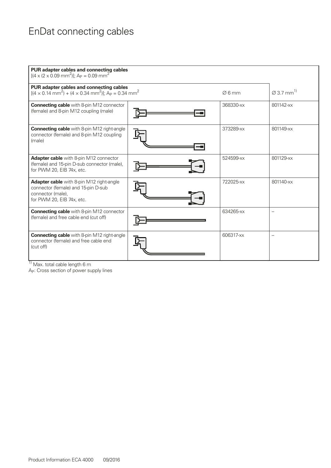## EnDat connecting cables

| PUR adapter cables and connecting cables<br>$[(4 \times (2 \times 0.09 \text{ mm}^2)]$ ; A <sub>P</sub> = 0.09 mm <sup>2</sup>                      |                                    |           |           |  |  |  |
|-----------------------------------------------------------------------------------------------------------------------------------------------------|------------------------------------|-----------|-----------|--|--|--|
| PUR adapter cables and connecting cables<br>$[(4 \times 0.14 \text{ mm}^2) + (4 \times 0.34 \text{ mm}^2)]$ ; A <sub>P</sub> = 0.34 mm <sup>2</sup> | $\varnothing$ 3.7 mm <sup>1)</sup> |           |           |  |  |  |
| <b>Connecting cable</b> with 8-pin M12 connector<br>(female) and 8-pin M12 coupling (male)                                                          |                                    | 368330-xx | 801142-xx |  |  |  |
| <b>Connecting cable</b> with 8-pin M12 right-angle<br>connector (female) and 8-pin M12 coupling<br>(male)                                           |                                    | 373289-xx | 801149-xx |  |  |  |
| Adapter cable with 8-pin M12 connector<br>(female) and 15-pin D-sub connector (male),<br>for PWM 20, EIB 74x, etc.                                  |                                    | 524599-xx | 801129-xx |  |  |  |
| <b>Adapter cable</b> with 8-pin M12 right-angle<br>connector (female) and 15-pin D-sub<br>connector (male).<br>for PWM 20, EIB 74x, etc.            |                                    | 722025-xx | 801140-xx |  |  |  |
| <b>Connecting cable</b> with 8-pin M12 connector<br>(female) and free cable end (cut off)                                                           |                                    | 634265-xx |           |  |  |  |
| <b>Connecting cable</b> with 8-pin M12 right-angle<br>connector (female) and free cable end<br>(cut off)<br>$\overline{1}$                          |                                    | 606317-xx |           |  |  |  |

 $1)$  Max. total cable length 6 m

AP: Cross section of power supply lines